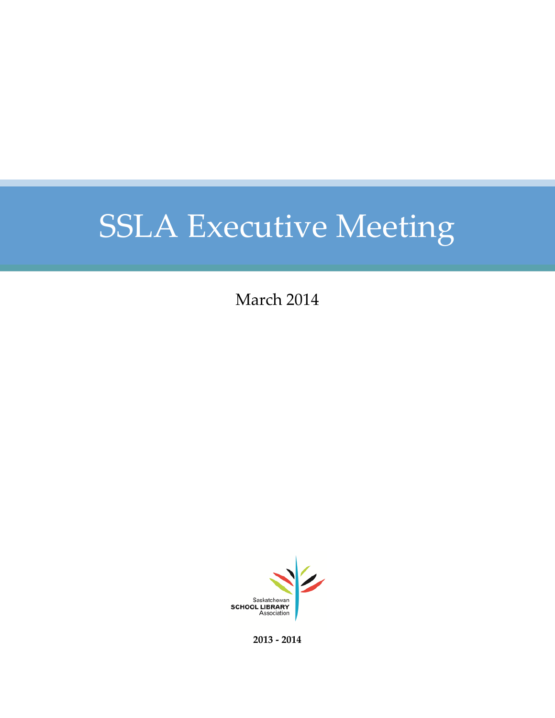March 2014



**2013 - 2014**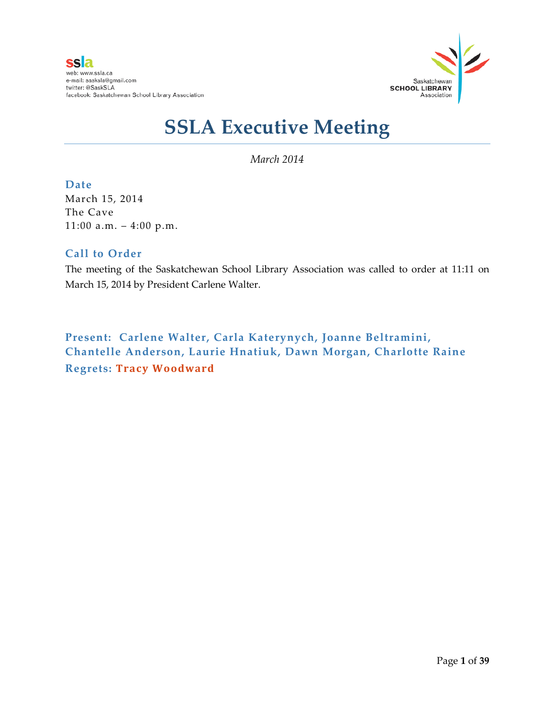

*March 2014*

#### **Date**

March 15, 2014 The Cave 11:00 a.m. – 4:00 p.m.

#### **Call to Order**

The meeting of the Saskatchewan School Library Association was called to order at 11:11 on March 15, 2014 by President Carlene Walter.

**Present: Carlene Walter, Carla Katerynych, Joanne Beltramini, Chantelle Anderson, Laurie Hnatiuk, Dawn Morgan, Charlotte Raine Regrets: Tracy Woodward**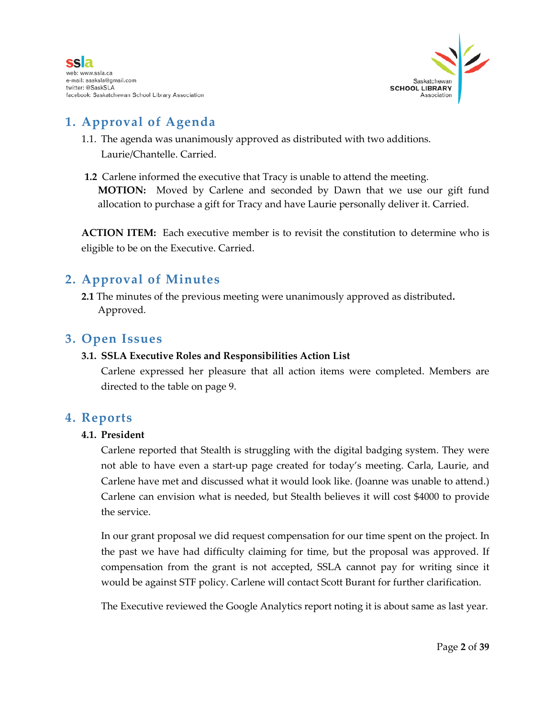

# **1. Approval of Agenda**

- 1.1. The agenda was unanimously approved as distributed with two additions. Laurie/Chantelle. Carried.
- **1.2** Carlene informed the executive that Tracy is unable to attend the meeting. **MOTION:** Moved by Carlene and seconded by Dawn that we use our gift fund allocation to purchase a gift for Tracy and have Laurie personally deliver it. Carried.

**ACTION ITEM:** Each executive member is to revisit the constitution to determine who is eligible to be on the Executive. Carried.

### **2. Approval of Minutes**

**2.1** The minutes of the previous meeting were unanimously approved as distributed**.** Approved.

#### **3. Open Issues**

#### **3.1. SSLA Executive Roles and Responsibilities Action List**

Carlene expressed her pleasure that all action items were completed. Members are directed to the table on page 9.

#### **4. Reports**

#### **4.1. President**

Carlene reported that Stealth is struggling with the digital badging system. They were not able to have even a start-up page created for today's meeting. Carla, Laurie, and Carlene have met and discussed what it would look like. (Joanne was unable to attend.) Carlene can envision what is needed, but Stealth believes it will cost \$4000 to provide the service.

In our grant proposal we did request compensation for our time spent on the project. In the past we have had difficulty claiming for time, but the proposal was approved. If compensation from the grant is not accepted, SSLA cannot pay for writing since it would be against STF policy. Carlene will contact Scott Burant for further clarification.

The Executive reviewed the Google Analytics report noting it is about same as last year.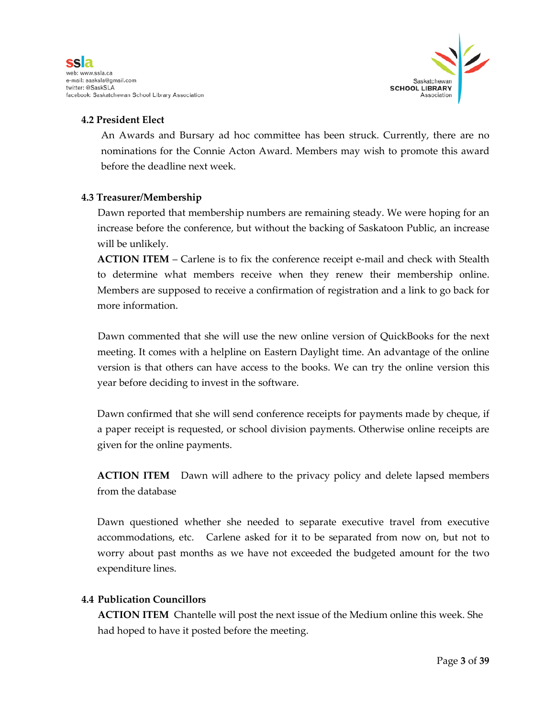

#### **4.2 President Elect**

An Awards and Bursary ad hoc committee has been struck. Currently, there are no nominations for the Connie Acton Award. Members may wish to promote this award before the deadline next week.

#### **4.3 Treasurer/Membership**

Dawn reported that membership numbers are remaining steady. We were hoping for an increase before the conference, but without the backing of Saskatoon Public, an increase will be unlikely.

**ACTION ITEM** – Carlene is to fix the conference receipt e-mail and check with Stealth to determine what members receive when they renew their membership online. Members are supposed to receive a confirmation of registration and a link to go back for more information.

Dawn commented that she will use the new online version of QuickBooks for the next meeting. It comes with a helpline on Eastern Daylight time. An advantage of the online version is that others can have access to the books. We can try the online version this year before deciding to invest in the software.

Dawn confirmed that she will send conference receipts for payments made by cheque, if a paper receipt is requested, or school division payments. Otherwise online receipts are given for the online payments.

**ACTION ITEM** Dawn will adhere to the privacy policy and delete lapsed members from the database

Dawn questioned whether she needed to separate executive travel from executive accommodations, etc. Carlene asked for it to be separated from now on, but not to worry about past months as we have not exceeded the budgeted amount for the two expenditure lines.

#### **4.4 Publication Councillors**

**ACTION ITEM** Chantelle will post the next issue of the Medium online this week. She had hoped to have it posted before the meeting.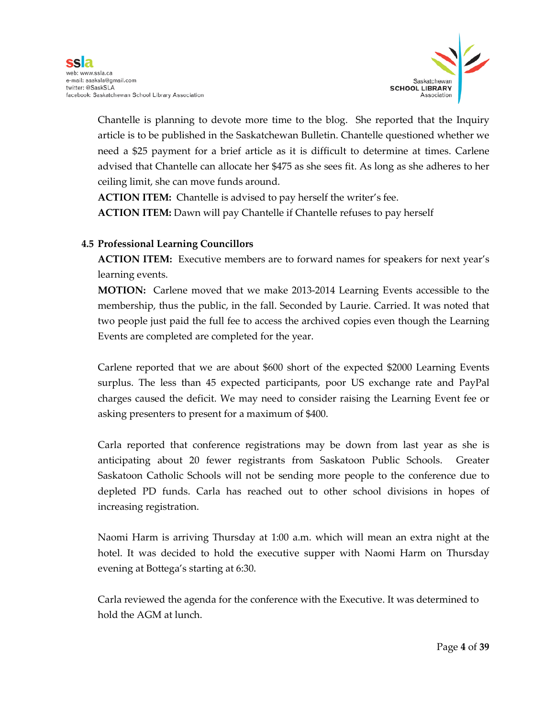

Chantelle is planning to devote more time to the blog. She reported that the Inquiry article is to be published in the Saskatchewan Bulletin. Chantelle questioned whether we need a \$25 payment for a brief article as it is difficult to determine at times. Carlene advised that Chantelle can allocate her \$475 as she sees fit. As long as she adheres to her ceiling limit, she can move funds around.

**ACTION ITEM:** Chantelle is advised to pay herself the writer's fee. **ACTION ITEM:** Dawn will pay Chantelle if Chantelle refuses to pay herself

#### **4.5 Professional Learning Councillors**

**ACTION ITEM:** Executive members are to forward names for speakers for next year's learning events.

**MOTION:** Carlene moved that we make 2013-2014 Learning Events accessible to the membership, thus the public, in the fall. Seconded by Laurie. Carried. It was noted that two people just paid the full fee to access the archived copies even though the Learning Events are completed are completed for the year.

Carlene reported that we are about \$600 short of the expected \$2000 Learning Events surplus. The less than 45 expected participants, poor US exchange rate and PayPal charges caused the deficit. We may need to consider raising the Learning Event fee or asking presenters to present for a maximum of \$400.

Carla reported that conference registrations may be down from last year as she is anticipating about 20 fewer registrants from Saskatoon Public Schools. Greater Saskatoon Catholic Schools will not be sending more people to the conference due to depleted PD funds. Carla has reached out to other school divisions in hopes of increasing registration.

Naomi Harm is arriving Thursday at 1:00 a.m. which will mean an extra night at the hotel. It was decided to hold the executive supper with Naomi Harm on Thursday evening at Bottega's starting at 6:30.

Carla reviewed the agenda for the conference with the Executive. It was determined to hold the AGM at lunch.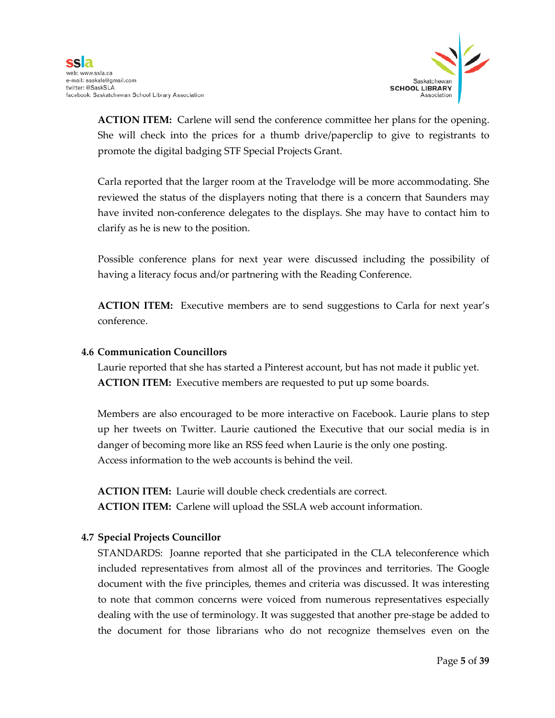

**ACTION ITEM:** Carlene will send the conference committee her plans for the opening. She will check into the prices for a thumb drive/paperclip to give to registrants to promote the digital badging STF Special Projects Grant.

Carla reported that the larger room at the Travelodge will be more accommodating. She reviewed the status of the displayers noting that there is a concern that Saunders may have invited non-conference delegates to the displays. She may have to contact him to clarify as he is new to the position.

Possible conference plans for next year were discussed including the possibility of having a literacy focus and/or partnering with the Reading Conference.

**ACTION ITEM:** Executive members are to send suggestions to Carla for next year's conference.

#### **4.6 Communication Councillors**

Laurie reported that she has started a Pinterest account, but has not made it public yet. **ACTION ITEM:** Executive members are requested to put up some boards.

Members are also encouraged to be more interactive on Facebook. Laurie plans to step up her tweets on Twitter. Laurie cautioned the Executive that our social media is in danger of becoming more like an RSS feed when Laurie is the only one posting. Access information to the web accounts is behind the veil.

**ACTION ITEM:** Laurie will double check credentials are correct. **ACTION ITEM:** Carlene will upload the SSLA web account information.

#### **4.7 Special Projects Councillor**

STANDARDS: Joanne reported that she participated in the CLA teleconference which included representatives from almost all of the provinces and territories. The Google document with the five principles, themes and criteria was discussed. It was interesting to note that common concerns were voiced from numerous representatives especially dealing with the use of terminology. It was suggested that another pre-stage be added to the document for those librarians who do not recognize themselves even on the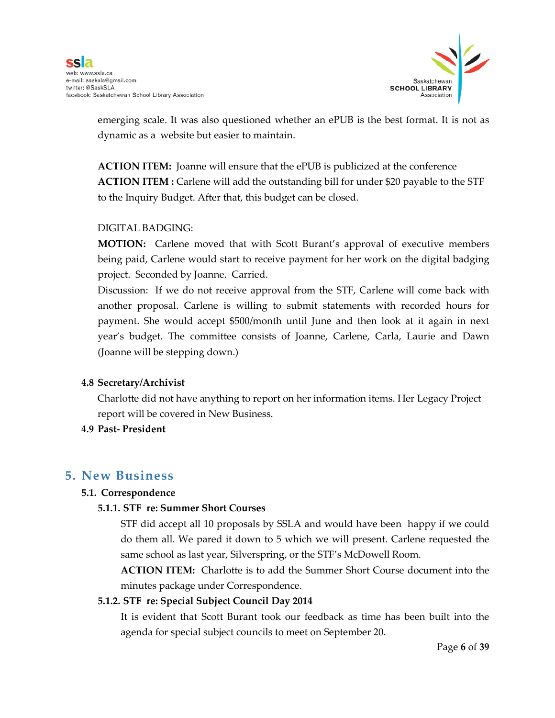

emerging scale. It was also questioned whether an ePUB is the best format. It is not as dynamic as a website but easier to maintain.

**ACTION ITEM:** Joanne will ensure that the ePUB is publicized at the conference **ACTION ITEM :** Carlene will add the outstanding bill for under \$20 payable to the STF to the Inquiry Budget. After that, this budget can be closed.

#### DIGITAL BADGING:

**MOTION:** Carlene moved that with Scott Burant's approval of executive members being paid, Carlene would start to receive payment for her work on the digital badging project. Seconded by Joanne. Carried.

Discussion: If we do not receive approval from the STF, Carlene will come back with another proposal. Carlene is willing to submit statements with recorded hours for payment. She would accept \$500/month until June and then look at it again in next year's budget. The committee consists of Joanne, Carlene, Carla, Laurie and Dawn (Joanne will be stepping down.)

#### **4.8 Secretary/Archivist**

Charlotte did not have anything to report on her information items. Her Legacy Project report will be covered in New Business.

#### **4.9 Past- President**

#### **5. New Business**

#### **5.1. Correspondence**

#### **5.1.1. STF re: Summer Short Courses**

STF did accept all 10 proposals by SSLA and would have been happy if we could do them all. We pared it down to 5 which we will present. Carlene requested the same school as last year, Silverspring, or the STF's McDowell Room.

**ACTION ITEM:** Charlotte is to add the Summer Short Course document into the minutes package under Correspondence.

#### **5.1.2. STF re: Special Subject Council Day 2014**

It is evident that Scott Burant took our feedback as time has been built into the agenda for special subject councils to meet on September 20.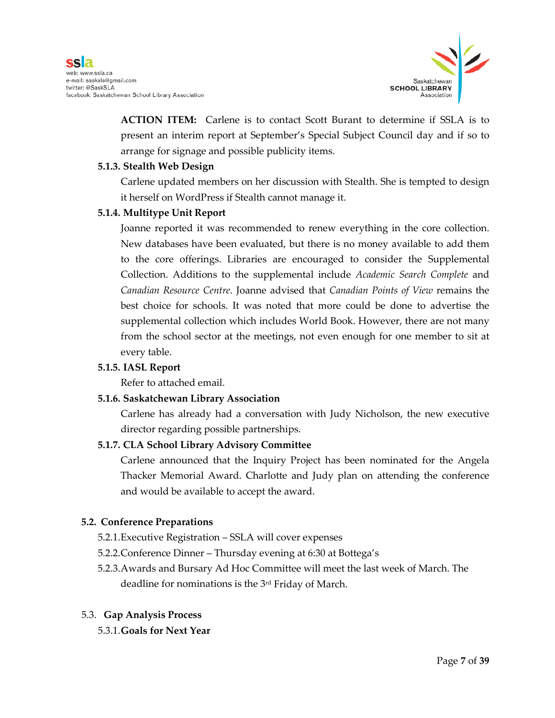

**ACTION ITEM:** Carlene is to contact Scott Burant to determine if SSLA is to present an interim report at September's Special Subject Council day and if so to arrange for signage and possible publicity items.

#### **5.1.3. Stealth Web Design**

Carlene updated members on her discussion with Stealth. She is tempted to design it herself on WordPress if Stealth cannot manage it.

#### **5.1.4. Multitype Unit Report**

Joanne reported it was recommended to renew everything in the core collection. New databases have been evaluated, but there is no money available to add them to the core offerings. Libraries are encouraged to consider the Supplemental Collection. Additions to the supplemental include *Academic Search Complete* and *Canadian Resource Centre*. Joanne advised that *Canadian Points of View* remains the best choice for schools. It was noted that more could be done to advertise the supplemental collection which includes World Book. However, there are not many from the school sector at the meetings, not even enough for one member to sit at every table.

#### **5.1.5. IASL Report**

Refer to attached email.

#### **5.1.6. Saskatchewan Library Association**

Carlene has already had a conversation with Judy Nicholson, the new executive director regarding possible partnerships.

#### **5.1.7. CLA School Library Advisory Committee**

Carlene announced that the Inquiry Project has been nominated for the Angela Thacker Memorial Award. Charlotte and Judy plan on attending the conference and would be available to accept the award.

#### **5.2. Conference Preparations**

- 5.2.1.Executive Registration SSLA will cover expenses
- 5.2.2.Conference Dinner Thursday evening at 6:30 at Bottega's
- 5.2.3.Awards and Bursary Ad Hoc Committee will meet the last week of March. The deadline for nominations is the 3rd Friday of March.

#### 5.3. **Gap Analysis Process**

5.3.1.**Goals for Next Year**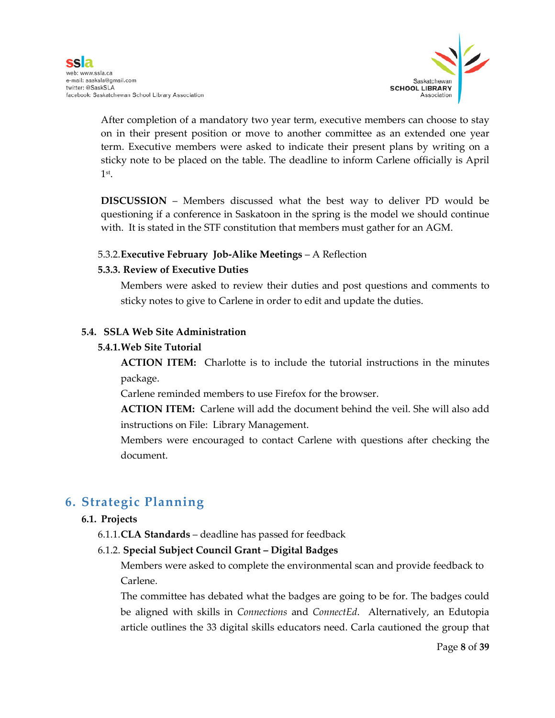

After completion of a mandatory two year term, executive members can choose to stay on in their present position or move to another committee as an extended one year term. Executive members were asked to indicate their present plans by writing on a sticky note to be placed on the table. The deadline to inform Carlene officially is April 1st.

**DISCUSSION** – Members discussed what the best way to deliver PD would be questioning if a conference in Saskatoon in the spring is the model we should continue with. It is stated in the STF constitution that members must gather for an AGM.

#### 5.3.2.**Executive February Job-Alike Meetings** – A Reflection

#### **5.3.3. Review of Executive Duties**

Members were asked to review their duties and post questions and comments to sticky notes to give to Carlene in order to edit and update the duties.

#### **5.4. SSLA Web Site Administration**

#### **5.4.1.Web Site Tutorial**

**ACTION ITEM:** Charlotte is to include the tutorial instructions in the minutes package.

Carlene reminded members to use Firefox for the browser.

**ACTION ITEM:** Carlene will add the document behind the veil. She will also add instructions on File: Library Management.

Members were encouraged to contact Carlene with questions after checking the document.

# **6. Strategic Planning**

#### **6.1. Projects**

6.1.1.**CLA Standards** – deadline has passed for feedback

#### 6.1.2. **Special Subject Council Grant – Digital Badges**

Members were asked to complete the environmental scan and provide feedback to Carlene.

The committee has debated what the badges are going to be for. The badges could be aligned with skills in *Connections* and *ConnectEd*. Alternatively, an Edutopia article outlines the 33 digital skills educators need. Carla cautioned the group that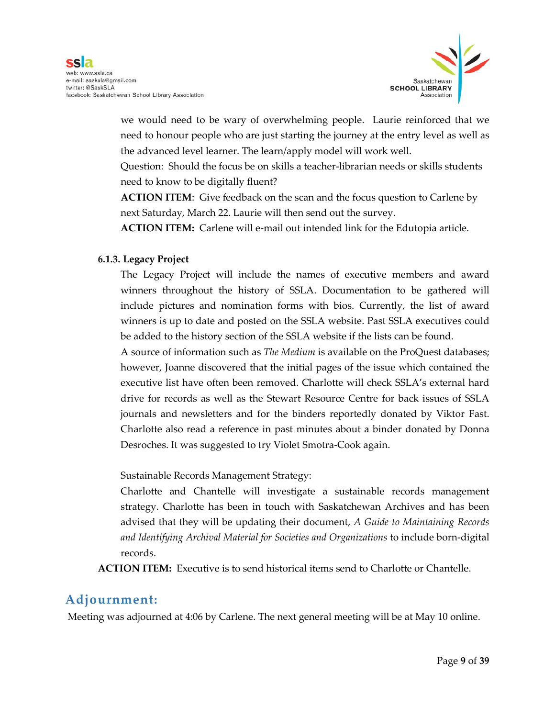

we would need to be wary of overwhelming people. Laurie reinforced that we need to honour people who are just starting the journey at the entry level as well as the advanced level learner. The learn/apply model will work well.

Question: Should the focus be on skills a teacher-librarian needs or skills students need to know to be digitally fluent?

**ACTION ITEM**: Give feedback on the scan and the focus question to Carlene by next Saturday, March 22. Laurie will then send out the survey.

**ACTION ITEM:** Carlene will e-mail out intended link for the Edutopia article.

#### **6.1.3. Legacy Project**

The Legacy Project will include the names of executive members and award winners throughout the history of SSLA. Documentation to be gathered will include pictures and nomination forms with bios. Currently, the list of award winners is up to date and posted on the SSLA website. Past SSLA executives could be added to the history section of the SSLA website if the lists can be found.

A source of information such as *The Medium* is available on the ProQuest databases; however, Joanne discovered that the initial pages of the issue which contained the executive list have often been removed. Charlotte will check SSLA's external hard drive for records as well as the Stewart Resource Centre for back issues of SSLA journals and newsletters and for the binders reportedly donated by Viktor Fast. Charlotte also read a reference in past minutes about a binder donated by Donna Desroches. It was suggested to try Violet Smotra-Cook again.

Sustainable Records Management Strategy:

Charlotte and Chantelle will investigate a sustainable records management strategy. Charlotte has been in touch with Saskatchewan Archives and has been advised that they will be updating their document, *A Guide to Maintaining Records and Identifying Archival Material for Societies and Organizations* to include born-digital records.

**ACTION ITEM:** Executive is to send historical items send to Charlotte or Chantelle.

#### **Adjournment:**

Meeting was adjourned at 4:06 by Carlene. The next general meeting will be at May 10 online.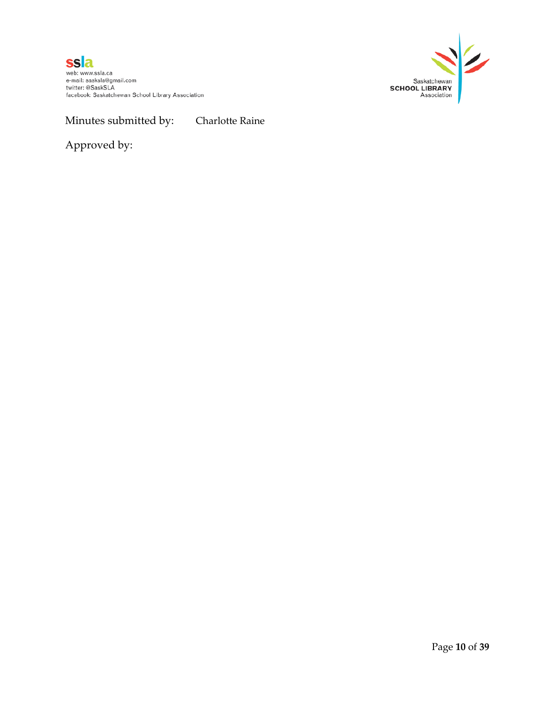



Minutes submitted by: Charlotte Raine

Approved by: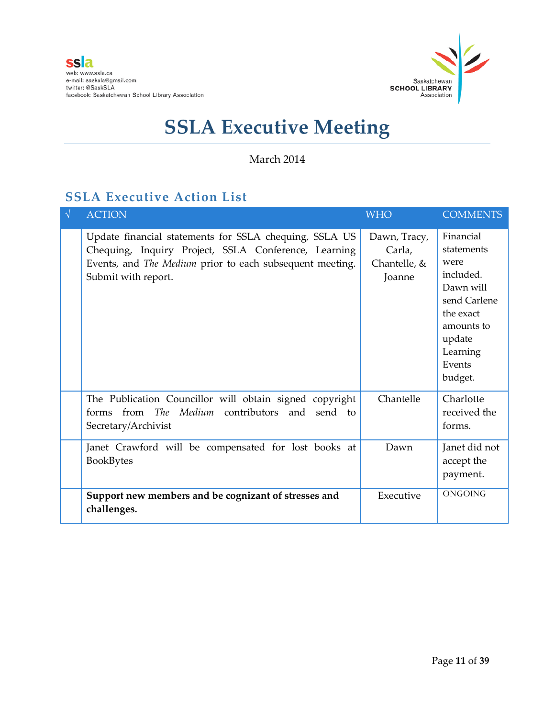

#### March 2014

### **SSLA Executive Action List**

| $\sqrt{ }$ | <b>ACTION</b>                                                                                                                                                                                     | <b>WHO</b>                                       | <b>COMMENTS</b>                                                                                                                                 |
|------------|---------------------------------------------------------------------------------------------------------------------------------------------------------------------------------------------------|--------------------------------------------------|-------------------------------------------------------------------------------------------------------------------------------------------------|
|            | Update financial statements for SSLA chequing, SSLA US<br>Chequing, Inquiry Project, SSLA Conference, Learning<br>Events, and The Medium prior to each subsequent meeting.<br>Submit with report. | Dawn, Tracy,<br>Carla,<br>Chantelle, &<br>Joanne | Financial<br>statements<br>were<br>included.<br>Dawn will<br>send Carlene<br>the exact<br>amounts to<br>update<br>Learning<br>Events<br>budget. |
|            | The Publication Councillor will obtain signed copyright<br>forms from The Medium contributors and<br>send<br>to<br>Secretary/Archivist                                                            | Chantelle                                        | Charlotte<br>received the<br>forms.                                                                                                             |
|            | Janet Crawford will be compensated for lost books at<br><b>BookBytes</b>                                                                                                                          | Dawn                                             | Janet did not<br>accept the<br>payment.                                                                                                         |
|            | Support new members and be cognizant of stresses and<br>challenges.                                                                                                                               | Executive                                        | ONGOING                                                                                                                                         |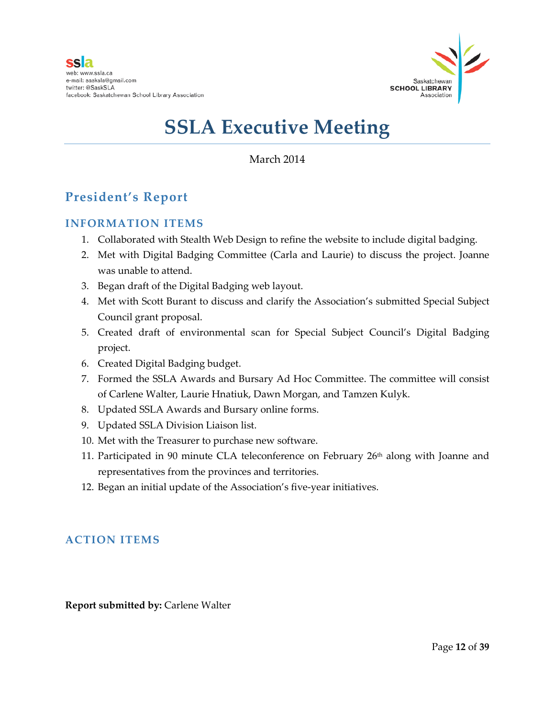

March 2014

### **President's Report**

#### **INFORMATION ITEMS**

- 1. Collaborated with Stealth Web Design to refine the website to include digital badging.
- 2. Met with Digital Badging Committee (Carla and Laurie) to discuss the project. Joanne was unable to attend.
- 3. Began draft of the Digital Badging web layout.
- 4. Met with Scott Burant to discuss and clarify the Association's submitted Special Subject Council grant proposal.
- 5. Created draft of environmental scan for Special Subject Council's Digital Badging project.
- 6. Created Digital Badging budget.
- 7. Formed the SSLA Awards and Bursary Ad Hoc Committee. The committee will consist of Carlene Walter, Laurie Hnatiuk, Dawn Morgan, and Tamzen Kulyk.
- 8. Updated SSLA Awards and Bursary online forms.
- 9. Updated SSLA Division Liaison list.
- 10. Met with the Treasurer to purchase new software.
- 11. Participated in 90 minute CLA teleconference on February 26<sup>th</sup> along with Joanne and representatives from the provinces and territories.
- 12. Began an initial update of the Association's five-year initiatives.

#### **ACTION ITEMS**

**Report submitted by:** Carlene Walter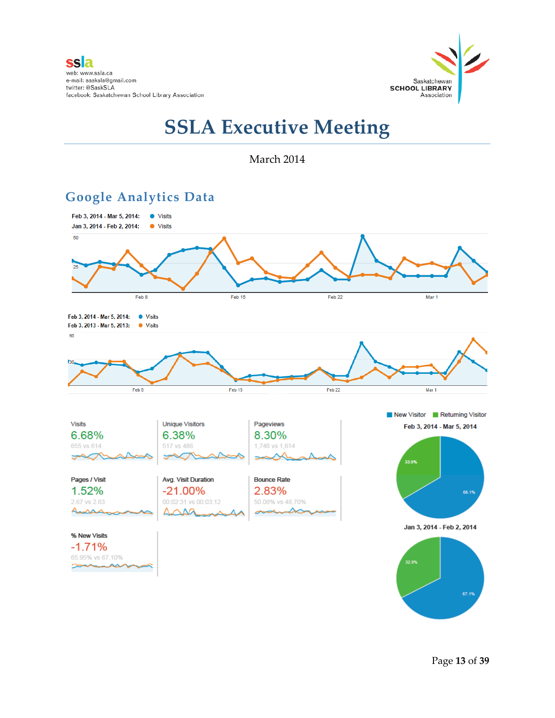

#### March 2014



# **Google Analytics Data**

Page **13** of **39**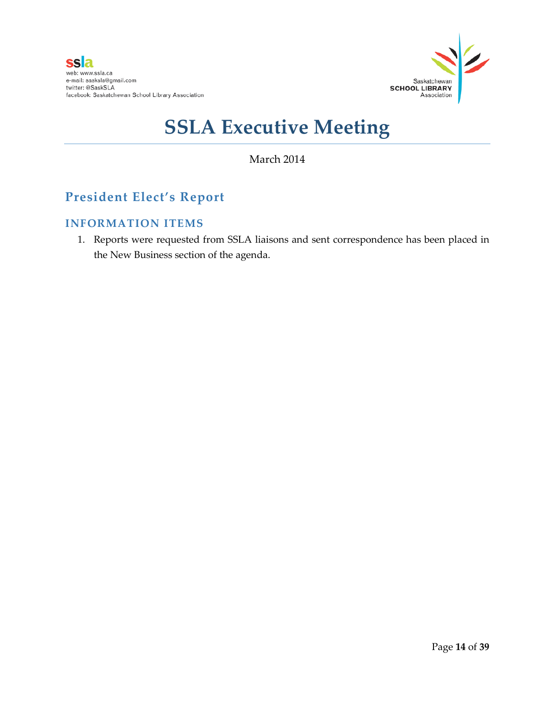

#### March 2014

# **President Elect's Report**

#### **INFORMATION ITEMS**

1. Reports were requested from SSLA liaisons and sent correspondence has been placed in the New Business section of the agenda.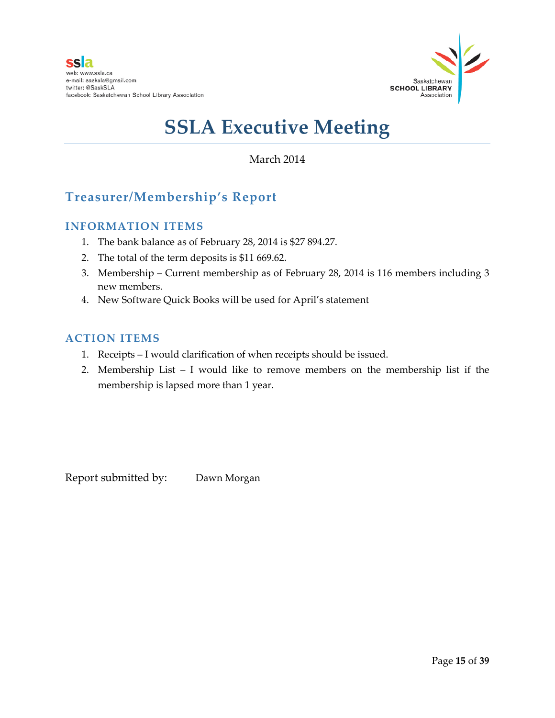

#### March 2014

### **Treasurer/Membership's Report**

#### **INFORMATION ITEMS**

- 1. The bank balance as of February 28, 2014 is \$27 894.27.
- 2. The total of the term deposits is \$11 669.62.
- 3. Membership Current membership as of February 28, 2014 is 116 members including 3 new members.
- 4. New Software Quick Books will be used for April's statement

#### **ACTION ITEMS**

- 1. Receipts I would clarification of when receipts should be issued.
- 2. Membership List I would like to remove members on the membership list if the membership is lapsed more than 1 year.

Report submitted by: Dawn Morgan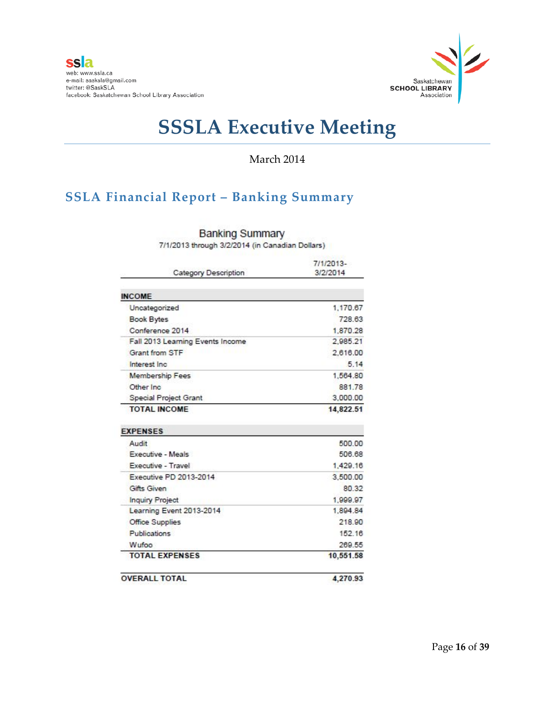

#### March 2014

# **SSLA Financial Report – Banking Summary**

| Category Description             | 7/1/2013-<br>3/2/2014 |
|----------------------------------|-----------------------|
|                                  |                       |
| <b>INCOME</b>                    |                       |
| Uncategorized                    | 1.170.67              |
| <b>Book Bytes</b>                | 728.63                |
| Conference 2014                  | 1,870.28              |
| Fall 2013 Learning Events Income | 2.985.21              |
| <b>Grant from STF</b>            | 2,616.00              |
| Interest Inc.                    | 5.14                  |
| <b>Membership Fees</b>           | 1,564.80              |
| Other Inc.                       | 881.78                |
| Special Project Grant            | 3,000.00              |
| <b>TOTAL INCOME</b>              | 14,822.51             |
| <b>EXPENSES</b>                  |                       |
| Audit                            | 500.00                |
| Executive - Meals                | 506.68                |
| Executive - Travel               | 1,429.16              |
| Executive PD 2013-2014           | 3,500.00              |
| Gifts Given                      | 80.32                 |
| <b>Inquiry Project</b>           | 1,999.97              |
| Learning Event 2013-2014         | 1,894.84              |
| <b>Office Supplies</b>           | 218.90                |
| <b>Publications</b>              | 152.16                |
| Wufoo                            | 269.55                |
| <b>TOTAL EXPENSES</b>            | 10,551.58             |
| <b>OVERALL TOTAL</b>             | 4,270.93              |

**Banking Summary** 

7/1/2013 through 3/2/2014 (in Canadian Dollars)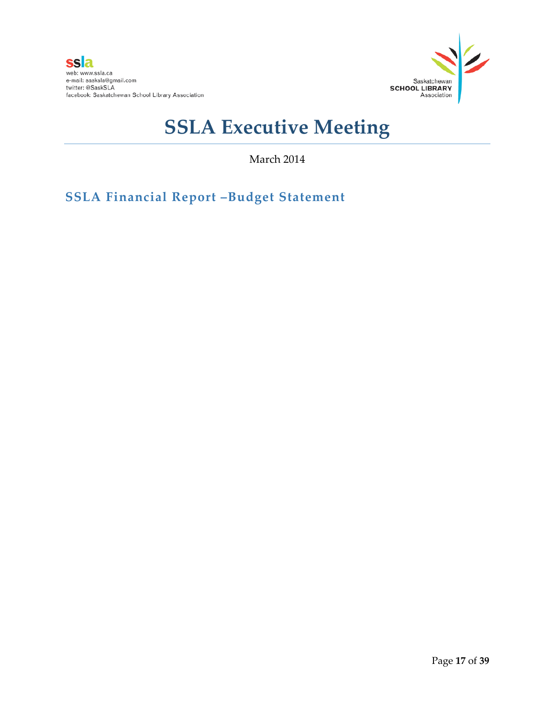

March 2014

**SSLA Financial Report –Budget Statement**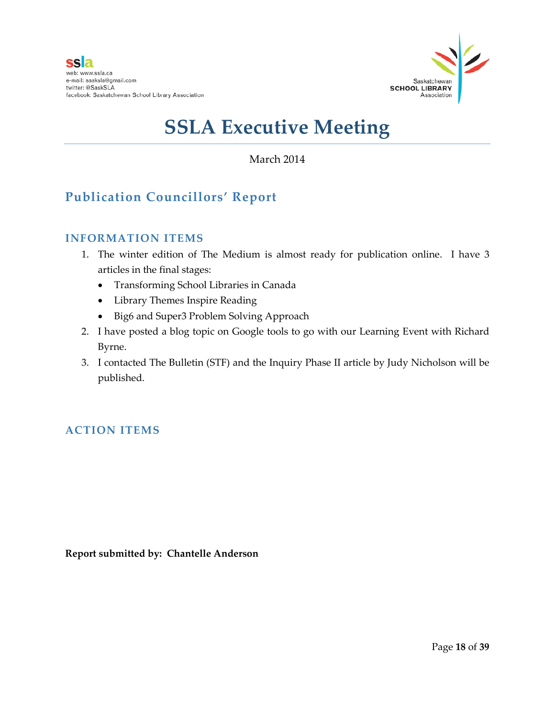

#### March 2014

# **Publication Councillors' Report**

#### **INFORMATION ITEMS**

- 1. The winter edition of The Medium is almost ready for publication online. I have 3 articles in the final stages:
	- Transforming School Libraries in Canada
	- Library Themes Inspire Reading
	- Big6 and Super3 Problem Solving Approach
- 2. I have posted a blog topic on Google tools to go with our Learning Event with Richard Byrne.
- 3. I contacted The Bulletin (STF) and the Inquiry Phase II article by Judy Nicholson will be published.

#### **ACTION ITEMS**

**Report submitted by: Chantelle Anderson**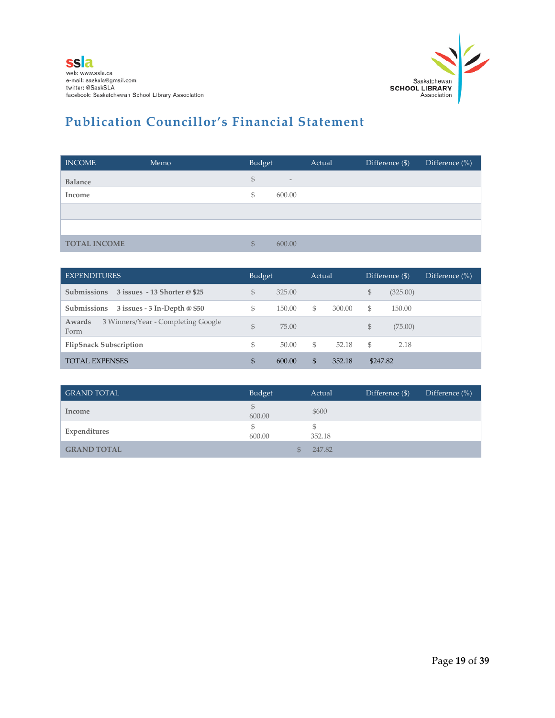

# **Publication Councillor's Financial Statement**

| <b>INCOME</b>       | Memo | Budget         |                   | Actual | Difference (\$) | Difference (%) |
|---------------------|------|----------------|-------------------|--------|-----------------|----------------|
| <b>Balance</b>      |      | $\mathfrak{S}$ | $\qquad \qquad -$ |        |                 |                |
| Income              |      | \$             | 600.00            |        |                 |                |
|                     |      |                |                   |        |                 |                |
|                     |      |                |                   |        |                 |                |
| <b>TOTAL INCOME</b> |      | $\mathbb{S}$   | 600.00            |        |                 |                |

| <b>EXPENDITURES</b>                                  |    | <b>Budget</b> |    | Actual |          | Difference (\$). | Difference $(\% )$ |
|------------------------------------------------------|----|---------------|----|--------|----------|------------------|--------------------|
| <b>Submissions</b><br>3 issues - 13 Shorter @ \$25   | \$ | 325.00        |    |        | \$       | (325.00)         |                    |
| Submissions<br>3 issues - 3 In-Depth $@$ \$50        | \$ | 150.00        | S. | 300.00 | \$       | 150.00           |                    |
| 3 Winners/Year - Completing Google<br>Awards<br>Form | \$ | 75.00         |    |        | \$       | (75.00)          |                    |
| <b>FlipSnack Subscription</b>                        | \$ | 50.00         | S. | 52.18  | \$       | 2.18             |                    |
| <b>TOTAL EXPENSES</b>                                | \$ | 600.00        | \$ | 352.18 | \$247.82 |                  |                    |

| <b>GRAND TOTAL</b> | Budget       | Actual | Difference (\$) | Difference $(\%)$ |
|--------------------|--------------|--------|-----------------|-------------------|
| Income             | \$<br>600.00 | \$600  |                 |                   |
| Expenditures       | \$<br>600.00 | 352.18 |                 |                   |
| <b>GRAND TOTAL</b> | \$.          | 247.82 |                 |                   |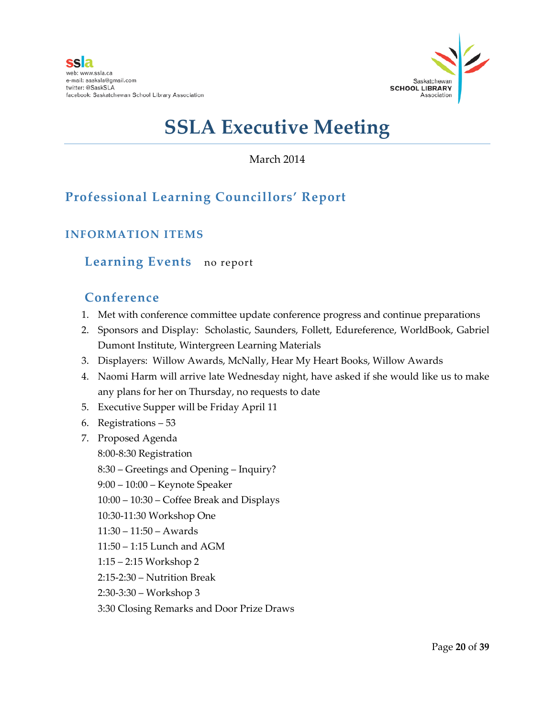

March 2014

# **Professional Learning Councillors' Report**

### **INFORMATION ITEMS**

#### **Learning Events** no report

#### **Conference**

- 1. Met with conference committee update conference progress and continue preparations
- 2. Sponsors and Display: Scholastic, Saunders, Follett, Edureference, WorldBook, Gabriel Dumont Institute, Wintergreen Learning Materials
- 3. Displayers: Willow Awards, McNally, Hear My Heart Books, Willow Awards
- 4. Naomi Harm will arrive late Wednesday night, have asked if she would like us to make any plans for her on Thursday, no requests to date
- 5. Executive Supper will be Friday April 11
- 6. Registrations 53
- 7. Proposed Agenda
	- 8:00-8:30 Registration
	- 8:30 Greetings and Opening Inquiry?
	- 9:00 10:00 Keynote Speaker
	- 10:00 10:30 Coffee Break and Displays
	- 10:30-11:30 Workshop One
	- 11:30 11:50 Awards
	- 11:50 1:15 Lunch and AGM
	- 1:15 2:15 Workshop 2
	- 2:15-2:30 Nutrition Break
	- 2:30-3:30 Workshop 3
	- 3:30 Closing Remarks and Door Prize Draws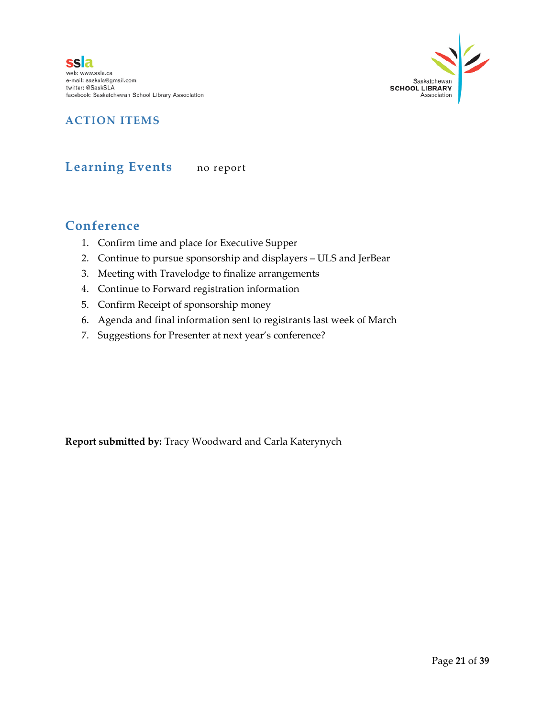**ssla** web: www.ssla.ca e-mail: sasksla@gmail.com twitter: @SaskSLA facebook: Saskatchewan School Library Association



#### **ACTION ITEMS**

### **Learning Events** no report

#### **Conference**

- 1. Confirm time and place for Executive Supper
- 2. Continue to pursue sponsorship and displayers ULS and JerBear
- 3. Meeting with Travelodge to finalize arrangements
- 4. Continue to Forward registration information
- 5. Confirm Receipt of sponsorship money
- 6. Agenda and final information sent to registrants last week of March
- 7. Suggestions for Presenter at next year's conference?

**Report submitted by:** Tracy Woodward and Carla Katerynych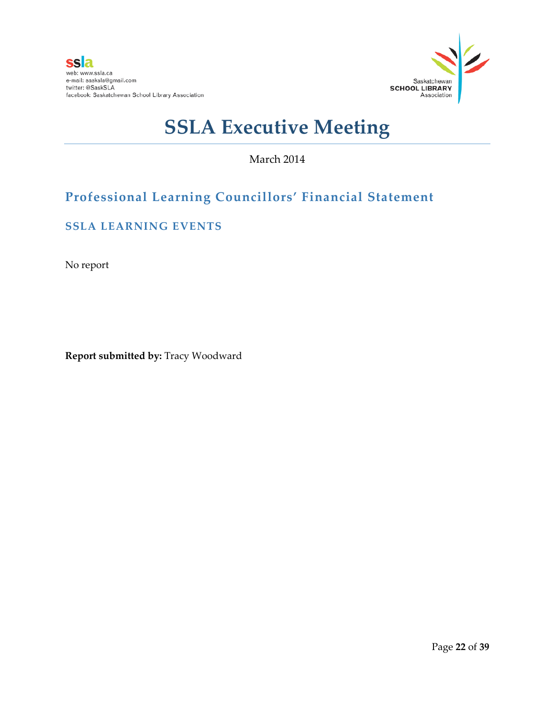

March 2014

# **Professional Learning Councillors' Financial Statement**

#### **SSLA LEARNING EVENTS**

No report

**Report submitted by:** Tracy Woodward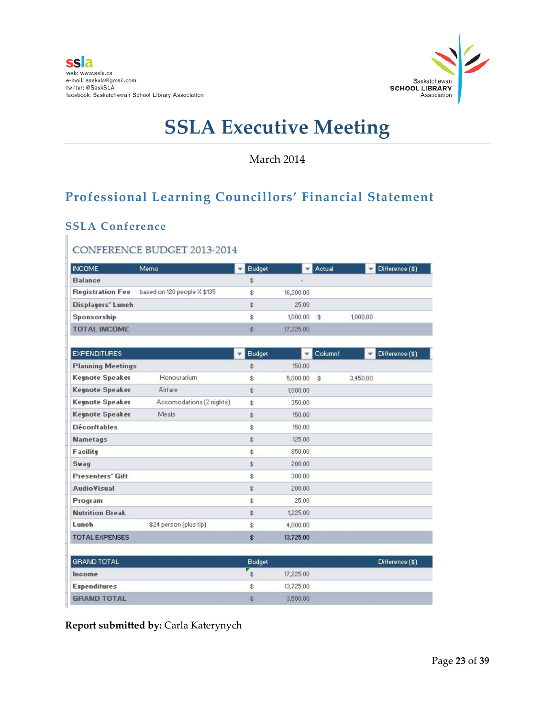

March 2014

# **Professional Learning Councillors' Financial Statement**

### **SSLA Conference**

#### CONFERENCE BUDGET 2013-2014

| <b>INCOME</b>            | Memo.                              | Budget |           | $\overline{\phantom{a}}$ Actual | $\nabla$ Difference $(\$)$ |
|--------------------------|------------------------------------|--------|-----------|---------------------------------|----------------------------|
| <b>Balance</b>           |                                    | \$     |           |                                 |                            |
| <b>Registration Fee</b>  | based on 120 people $\times$ \$135 |        | 16,200.00 |                                 |                            |
| <b>Displayers' Lunch</b> |                                    | 杢      | 25.00     |                                 |                            |
| Sponsorship              |                                    | \$     | 1,000.00  | $\mathbf{\hat{z}}$              | 1,000.00                   |
| <b>TOTAL INCOME</b>      |                                    | \$     | 17,225.00 |                                 |                            |

| <b>EXPENDITURES</b>      |                          | <b>Budget</b><br>÷ | $\overline{\mathbf{v}}$ | Column1 | Difference (\$)<br>▼ |
|--------------------------|--------------------------|--------------------|-------------------------|---------|----------------------|
| <b>Planning Meetings</b> |                          | \$                 | 150.00                  |         |                      |
| <b>Keynote Speaker</b>   | Honourarium              | \$                 | 5,000.00                | \$      | 3,450.00             |
| <b>Keynote Speaker</b>   | Airfare                  | \$                 | 1,000.00                |         |                      |
| <b>Keynote Speaker</b>   | Accomodations [2 nights] | \$                 | 350.00                  |         |                      |
| Keynote Speaker          | Meals                    | \$                 | 150.00                  |         |                      |
| <b>Décor/tables</b>      |                          | \$                 | 150.00                  |         |                      |
| <b>Nametags</b>          |                          | \$                 | 125.00                  |         |                      |
| <b>Facility</b>          |                          | \$                 | 850.00                  |         |                      |
| Swag                     |                          | \$                 | 200.00                  |         |                      |
| <b>Presenters' Gift</b>  |                          | \$                 | 300.00                  |         |                      |
| <b>AudioVisual</b>       |                          | \$                 | 200.00                  |         |                      |
| Program                  |                          | \$                 | 25.00                   |         |                      |
| <b>Nutrition Break</b>   |                          | \$                 | 1,225.00                |         |                      |
| Lunch                    | \$24 person (plus tip)   | \$                 | 4,000.00                |         |                      |
| <b>TOTAL EXPENSES</b>    |                          | \$                 | 13,725.00               |         |                      |
| <b>GRAND TOTAL</b>       |                          | <b>Budget</b>      |                         |         | Difference [\$]      |
| Income                   |                          | 尘                  | 17.225.00               |         |                      |

\$

\$

13,725.00

3,500.00

**Report submitted by:** Carla Katerynych

**Expenditures** 

**GRAND TOTAL**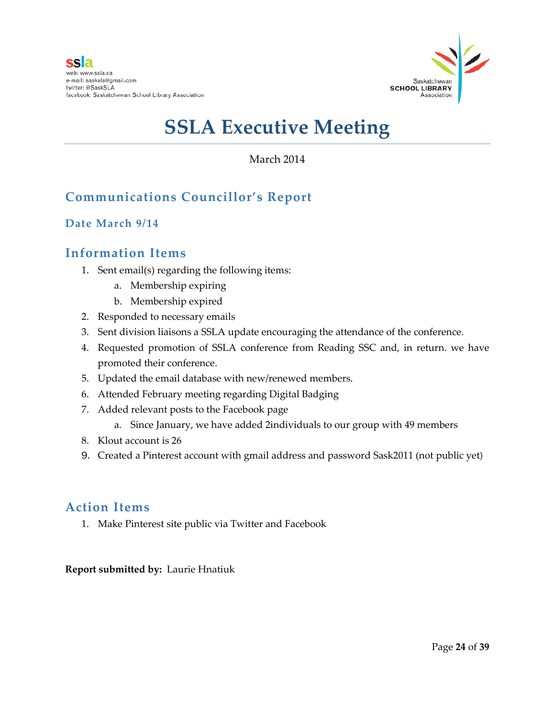

#### March 2014

# **Communications Councillor's Report**

#### **Date March 9/14**

### **Information Items**

- 1. Sent email(s) regarding the following items:
	- a. Membership expiring
	- b. Membership expired
- 2. Responded to necessary emails
- 3. Sent division liaisons a SSLA update encouraging the attendance of the conference.
- 4. Requested promotion of SSLA conference from Reading SSC and, in return. we have promoted their conference.
- 5. Updated the email database with new/renewed members.
- 6. Attended February meeting regarding Digital Badging
- 7. Added relevant posts to the Facebook page
	- a. Since January, we have added 2individuals to our group with 49 members
- 8. Klout account is 26
- 9. Created a Pinterest account with gmail address and password Sask2011 (not public yet)

### **Action Items**

1. Make Pinterest site public via Twitter and Facebook

#### **Report submitted by:** Laurie Hnatiuk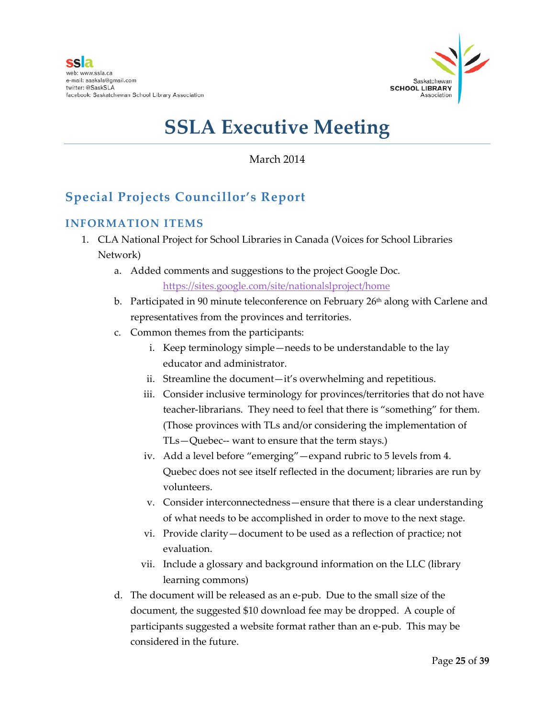

March 2014

# **Special Projects Councillor's Report**

#### **INFORMATION ITEMS**

- 1. CLA National Project for School Libraries in Canada (Voices for School Libraries Network)
	- a. Added comments and suggestions to the project Google Doc. <https://sites.google.com/site/nationalslproject/home>
	- b. Participated in 90 minute teleconference on February 26<sup>th</sup> along with Carlene and representatives from the provinces and territories.
	- c. Common themes from the participants:
		- i. Keep terminology simple—needs to be understandable to the lay educator and administrator.
		- ii. Streamline the document—it's overwhelming and repetitious.
		- iii. Consider inclusive terminology for provinces/territories that do not have teacher-librarians. They need to feel that there is "something" for them. (Those provinces with TLs and/or considering the implementation of TLs—Quebec-- want to ensure that the term stays.)
		- iv. Add a level before "emerging"—expand rubric to 5 levels from 4. Quebec does not see itself reflected in the document; libraries are run by volunteers.
		- v. Consider interconnectedness—ensure that there is a clear understanding of what needs to be accomplished in order to move to the next stage.
		- vi. Provide clarity—document to be used as a reflection of practice; not evaluation.
		- vii. Include a glossary and background information on the LLC (library learning commons)
	- d. The document will be released as an e-pub. Due to the small size of the document, the suggested \$10 download fee may be dropped. A couple of participants suggested a website format rather than an e-pub. This may be considered in the future.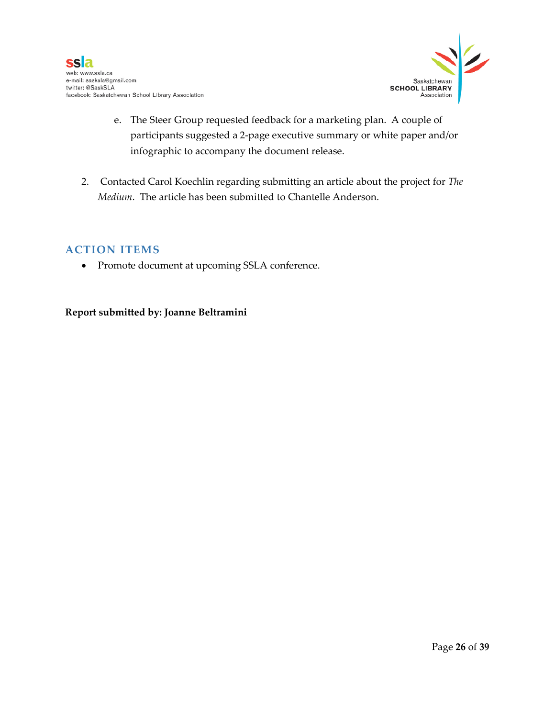

- e. The Steer Group requested feedback for a marketing plan. A couple of participants suggested a 2-page executive summary or white paper and/or infographic to accompany the document release.
- 2. Contacted Carol Koechlin regarding submitting an article about the project for *The Medium*. The article has been submitted to Chantelle Anderson.

#### **ACTION ITEMS**

• Promote document at upcoming SSLA conference.

#### **Report submitted by: Joanne Beltramini**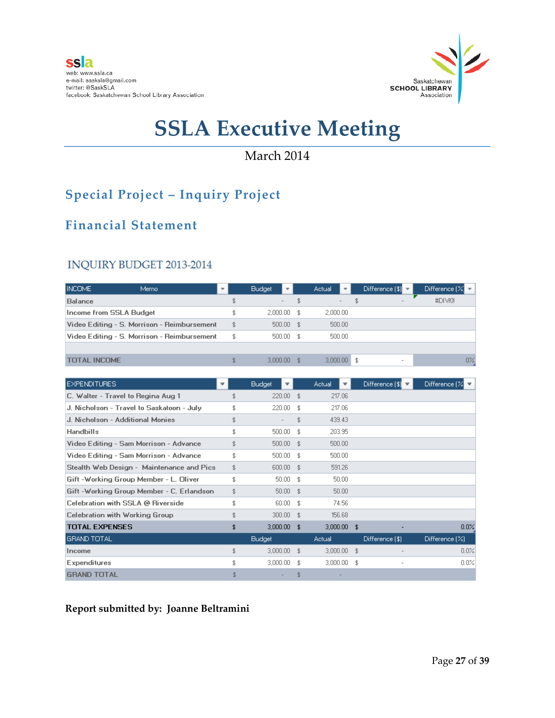

### March 2014

# **Special Project – Inquiry Project**

# **Financial Statement**

#### INQUIRY BUDGET 2013-2014

| <b>INCOME</b>                  | Memo                                        | $\overline{\phantom{a}}$ | <b>Budget</b><br>$\mathbf{v}$  | <b>Actual</b><br>$\overline{\mathbf{v}}$ | Difference $ \$  \mathbf{v}$ | Difference $\left[\% \right]$ $\triangledown$ |
|--------------------------------|---------------------------------------------|--------------------------|--------------------------------|------------------------------------------|------------------------------|-----------------------------------------------|
| <b>Balance</b>                 |                                             |                          | \$<br>$\overline{\phantom{a}}$ | $\sim$                                   | \$<br>$\sim$                 | #DIVO!                                        |
| <b>Income from SSLA Budget</b> |                                             |                          | $2.000.00$ \$                  | 2,000.00                                 |                              |                                               |
|                                | Video Editing - S. Morrison - Reimbursement |                          | \$<br>$500.00$ \$              | 500.00                                   |                              |                                               |
|                                | Video Editing - S. Morrison - Reimbursement |                          | \$<br>$500.00$ \$              | 500.00                                   |                              |                                               |
|                                |                                             |                          |                                |                                          |                              |                                               |
| <b>TOTAL INCOME</b>            |                                             |                          | \$<br>$3.000.00$ \$            | $3.000.00$ \$                            | $\,$                         | $0\%$                                         |

| <b>EXPENDITURES</b>                       | ₩ |     | <b>Budget</b><br>$\overline{\mathbf{v}}$ |     | Actual        | Difference $ \$$ | Difference $\left[\% \right]$ $\triangledown$ |
|-------------------------------------------|---|-----|------------------------------------------|-----|---------------|------------------|-----------------------------------------------|
| C. Walter - Travel to Regina Aug 1        |   | \$  | $220.00$ \$                              |     | 217.06        |                  |                                               |
| J. Nicholson - Travel to Saskatoon - July |   | \$  | $220.00$ \$                              |     | 217.06        |                  |                                               |
| J. Nicholson - Additional Monies          |   | \$  |                                          | \$  | 439.43        |                  |                                               |
| <b>Handbills</b>                          |   | \$  | 500.00                                   | -\$ | 203.95        |                  |                                               |
| Video Editing - Sam Morrison - Advance    |   | \$  | 500.00 \$                                |     | 500.00        |                  |                                               |
| Video Editing - Sam Morrison - Advance    |   | \$  | 500.00 \$                                |     | 500.00        |                  |                                               |
| Stealth Web Design - Maintenance and Pics |   | \$  | 600.00 \$                                |     | 591.26        |                  |                                               |
| Gift -Working Group Member - L. Oliver    |   | \$  | $50.00$ \$                               |     | 50.00         |                  |                                               |
| Gift -Working Group Member - C. Erlandson |   | \$  | $50.00$ \$                               |     | 50.00         |                  |                                               |
| Celebration with SSLA @ Riverside         |   | \$. | $60.00$ \$                               |     | 74.56         |                  |                                               |
| Celebration with Working Group            |   | \$  | $300.00$ \$                              |     | 156.68        |                  |                                               |
| <b>TOTAL EXPENSES</b>                     |   | \$  | $3,000.00$ \$                            |     | $3,000.00$ \$ |                  | $0.0\%$                                       |
| <b>GRAND TOTAL</b>                        |   |     | <b>Budget</b>                            |     | Actual        | Difference [\$]  | Difference [%]                                |
| Income                                    |   | \$  | $3,000.00$ \$                            |     | $3,000.00$ \$ |                  | 0.0%                                          |
| <b>Expenditures</b>                       |   |     | 3.000.00                                 | -\$ | $3.000.00$ \$ | ٠                | 0.0%                                          |
| <b>GRAND TOTAL</b>                        |   |     |                                          | \$  |               |                  |                                               |

#### **Report submitted by: Joanne Beltramini**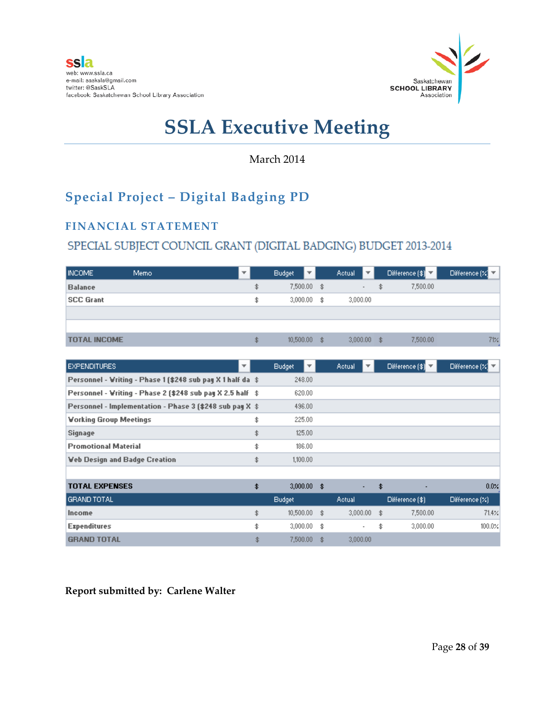

March 2014

# **Special Project – Digital Badging PD**

#### **FINANCIAL STATEMENT**

### SPECIAL SUBJECT COUNCIL GRANT (DIGITAL BADGING) BUDGET 2013-2014

| <b>INCOME</b>       | Memo. |    | <b>Budget</b> | ΨI | <b>Actual</b>  | 1 – L  |     | Difference (\$) V | Difference $\left[\mathbb{Z}\right]$ |
|---------------------|-------|----|---------------|----|----------------|--------|-----|-------------------|--------------------------------------|
| <b>Balance</b>      |       | \$ | $7,500.00$ \$ |    |                | $\sim$ | \$  | 7,500.00          |                                      |
| <b>SCC Grant</b>    |       | \$ | $3,000.00$ \$ |    | 3,000.00       |        |     |                   |                                      |
|                     |       |    |               |    |                |        |     |                   |                                      |
|                     |       |    |               |    |                |        |     |                   |                                      |
| <b>TOTAL INCOME</b> |       | \$ | 10,500,00     |    | \$<br>3,000,00 |        | \$. | 7,500.00          | 71%                                  |

| <b>EXPENDITURES</b><br>▼                                    | <b>Budget</b>        |      | Actual        | Difference $ \$$ | Difference $\left[\mathbb{Z}\right]$ |
|-------------------------------------------------------------|----------------------|------|---------------|------------------|--------------------------------------|
|                                                             |                      |      |               |                  |                                      |
| Personnel - Writing - Phase 1 (\$248 sub pay X 1 half da \$ | 248.00               |      |               |                  |                                      |
| Personnel - Writing - Phase 2 (\$248 sub pay X 2.5 half \$  | 620.00               |      |               |                  |                                      |
| Personnel - Implementation - Phase 3 (\$248 sub pay X \$    | 496.00               |      |               |                  |                                      |
| <b>Vorking Group Meetings</b>                               | \$<br>225.00         |      |               |                  |                                      |
| Signage                                                     | \$<br>125.00         |      |               |                  |                                      |
| <b>Promotional Material</b>                                 | \$<br>186.00         |      |               |                  |                                      |
| <b>Veb Design and Badge Creation</b>                        | \$<br>1,100.00       |      |               |                  |                                      |
|                                                             |                      |      |               |                  |                                      |
| <b>TOTAL EXPENSES</b>                                       | \$<br>$3,000.00$ \$  |      | ٠             | \$               | $0.0 \times$                         |
| <b>GRAND TOTAL</b>                                          | <b>Budget</b>        |      | Actual        | Difference (\$)  | Different(z)                         |
| Income                                                      | \$<br>$10,500.00$ \$ |      | $3,000.00$ \$ | 7,500.00         | 71.4%                                |
| <b>Expenditures</b>                                         | \$<br>$3,000.00$ \$  |      | $\sim$        | \$<br>3,000.00   | 100.0%                               |
| <b>GRAND TOTAL</b>                                          | \$<br>7,500.00       | - \$ | 3,000.00      |                  |                                      |

**Report submitted by: Carlene Walter**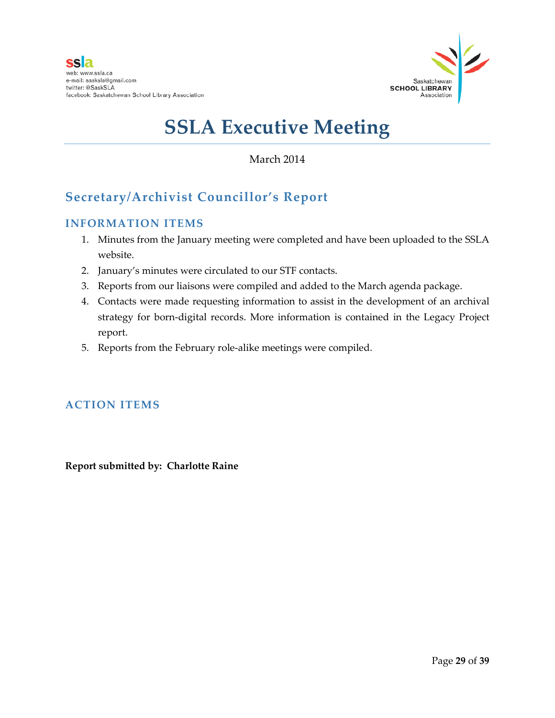

March 2014

# **Secretary/Archivist Councillor's Report**

#### **INFORMATION ITEMS**

- 1. Minutes from the January meeting were completed and have been uploaded to the SSLA website.
- 2. January's minutes were circulated to our STF contacts.
- 3. Reports from our liaisons were compiled and added to the March agenda package.
- 4. Contacts were made requesting information to assist in the development of an archival strategy for born-digital records. More information is contained in the Legacy Project report.
- 5. Reports from the February role-alike meetings were compiled.

#### **ACTION ITEMS**

**Report submitted by: Charlotte Raine**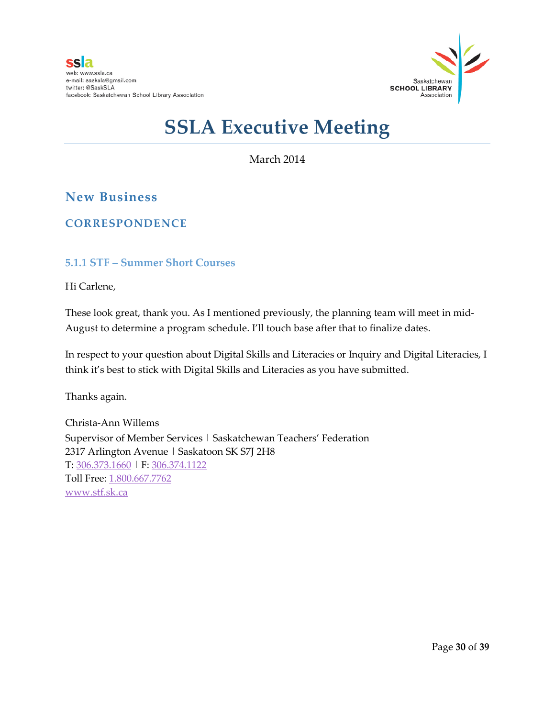

March 2014

### **New Business**

#### **CORRESPONDENCE**

#### **5.1.1 STF – Summer Short Courses**

Hi Carlene,

These look great, thank you. As I mentioned previously, the planning team will meet in mid-August to determine a program schedule. I'll touch base after that to finalize dates.

In respect to your question about Digital Skills and Literacies or Inquiry and Digital Literacies, I think it's best to stick with Digital Skills and Literacies as you have submitted.

Thanks again.

Christa-Ann Willems Supervisor of Member Services | Saskatchewan Teachers' Federation 2317 Arlington Avenue | Saskatoon SK S7J 2H8 T: [306.373.1660](tel:306.373.1660) | F: [306.374.1122](tel:306.374.1122) Toll Free: [1.800.667.7762](tel:1.800.667.7762) [www.stf.sk.ca](http://www.stf.sk.ca/)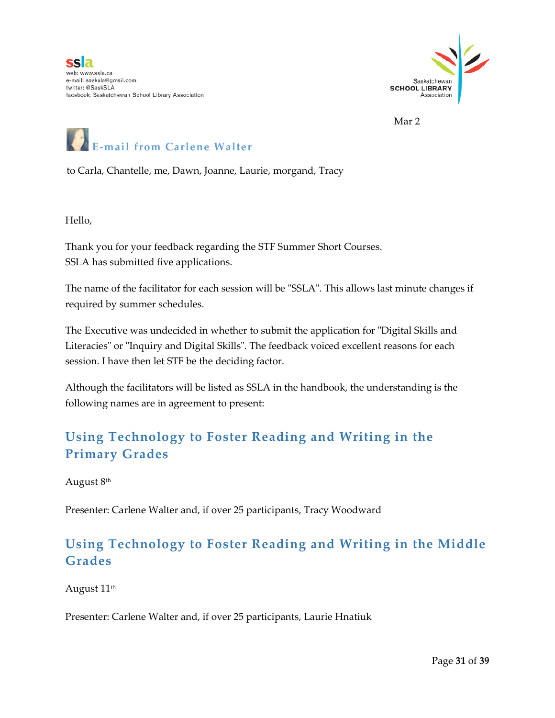

Mar 2



to Carla, Chantelle, me, Dawn, Joanne, Laurie, morgand, Tracy

Hello,

Thank you for your feedback regarding the STF Summer Short Courses. SSLA has submitted five applications.

The name of the facilitator for each session will be "SSLA". This allows last minute changes if required by summer schedules.

The Executive was undecided in whether to submit the application for "Digital Skills and Literacies" or "Inquiry and Digital Skills". The feedback voiced excellent reasons for each session. I have then let STF be the deciding factor.

Although the facilitators will be listed as SSLA in the handbook, the understanding is the following names are in agreement to present:

# **Using Technology to Foster Reading and Writing in the Primary Grades**

August 8th

Presenter: Carlene Walter and, if over 25 participants, Tracy Woodward

# **Using Technology to Foster Reading and Writing in the Middle Grades**

August 11<sup>th</sup>

Presenter: Carlene Walter and, if over 25 participants, Laurie Hnatiuk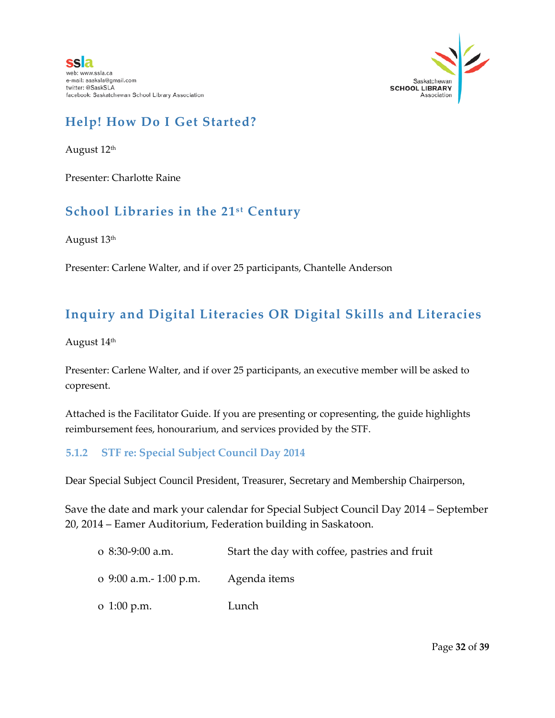

# **Help! How Do I Get Started?**

August 12<sup>th</sup>

Presenter: Charlotte Raine

### **School Libraries in the 21st Century**

August 13th

Presenter: Carlene Walter, and if over 25 participants, Chantelle Anderson

# **Inquiry and Digital Literacies OR Digital Skills and Literacies**

August 14<sup>th</sup>

Presenter: Carlene Walter, and if over 25 participants, an executive member will be asked to copresent.

Attached is the Facilitator Guide. If you are presenting or copresenting, the guide highlights reimbursement fees, honourarium, and services provided by the STF.

#### **5.1.2 STF re: Special Subject Council Day 2014**

Dear Special Subject Council President, Treasurer, Secretary and Membership Chairperson,

Save the date and mark your calendar for Special Subject Council Day 2014 – September 20, 2014 – Eamer Auditorium, Federation building in Saskatoon.

o 8:30-9:00 a.m. Start the day with coffee, pastries and fruit o 9:00 a.m.- 1:00 p.m. Agenda items o 1:00 p.m. Lunch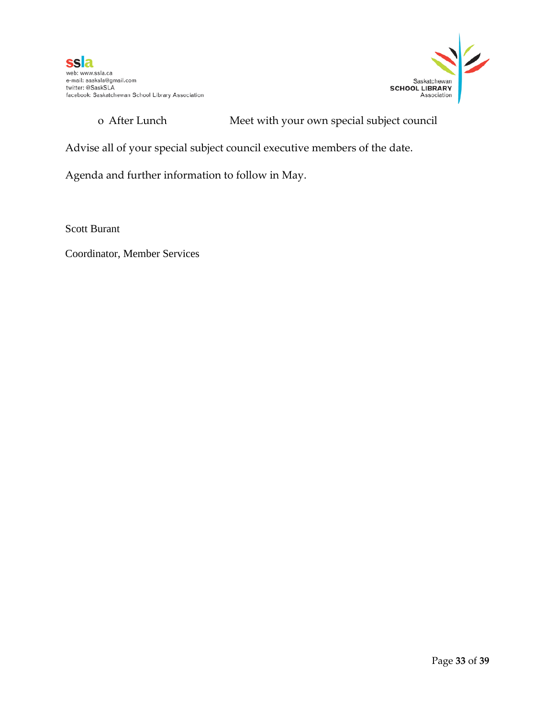

#### o After Lunch Meet with your own special subject council

Advise all of your special subject council executive members of the date.

Agenda and further information to follow in May.

Scott Burant

Coordinator, Member Services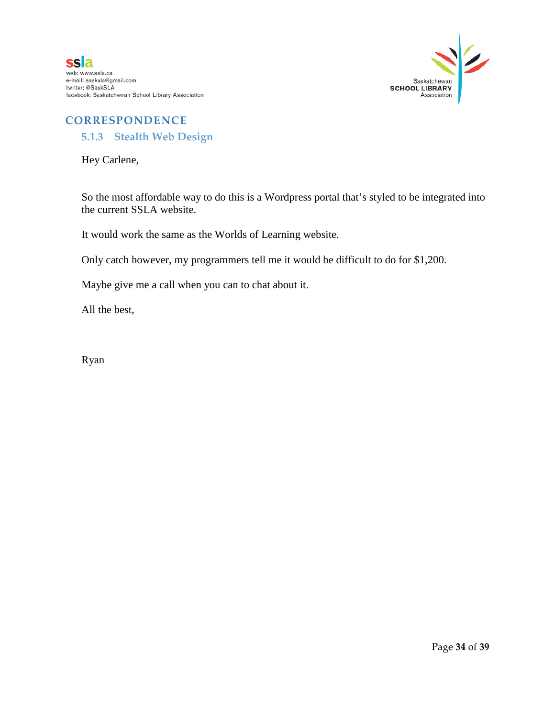

#### **CORRESPONDENCE**

#### **5.1.3 Stealth Web Design**

Hey Carlene,

So the most affordable way to do this is a Wordpress portal that's styled to be integrated into the current SSLA website.

It would work the same as the Worlds of Learning website.

Only catch however, my programmers tell me it would be difficult to do for \$1,200.

Maybe give me a call when you can to chat about it.

All the best,

Ryan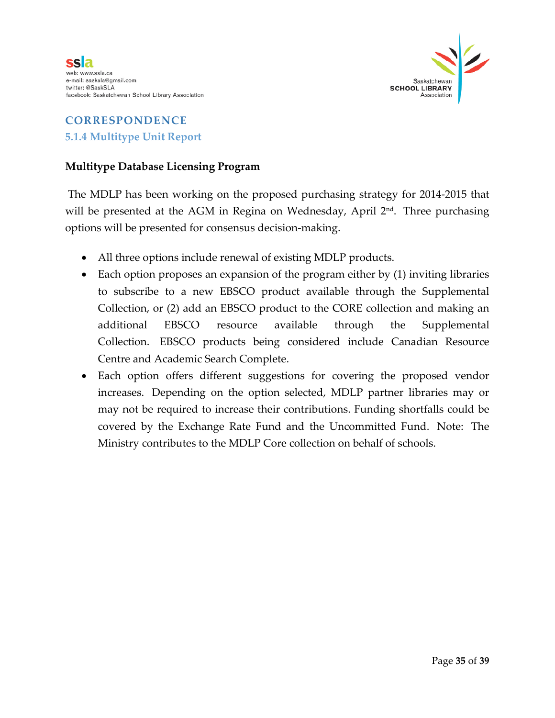

# **CORRESPONDENCE 5.1.4 Multitype Unit Report**

#### **Multitype Database Licensing Program**

The MDLP has been working on the proposed purchasing strategy for 2014-2015 that will be presented at the AGM in Regina on Wednesday, April 2<sup>nd</sup>. Three purchasing options will be presented for consensus decision-making.

- All three options include renewal of existing MDLP products.
- Each option proposes an expansion of the program either by (1) inviting libraries to subscribe to a new EBSCO product available through the Supplemental Collection, or (2) add an EBSCO product to the CORE collection and making an additional EBSCO resource available through the Supplemental Collection. EBSCO products being considered include Canadian Resource Centre and Academic Search Complete.
- Each option offers different suggestions for covering the proposed vendor increases. Depending on the option selected, MDLP partner libraries may or may not be required to increase their contributions. Funding shortfalls could be covered by the Exchange Rate Fund and the Uncommitted Fund. Note: The Ministry contributes to the MDLP Core collection on behalf of schools.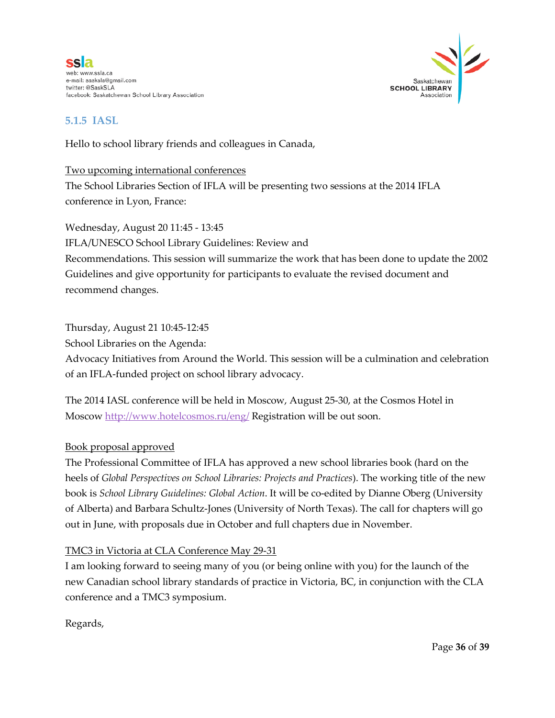ssla web: www.ssla.ca e-mail: sasksla@gmail.com twitter: @SaskSLA facebook: Saskatchewan School Library Association



#### **5.1.5 IASL**

Hello to school library friends and colleagues in Canada,

#### Two upcoming international conferences

The School Libraries Section of IFLA will be presenting two sessions at the 2014 IFLA conference in Lyon, France:

Wednesday, August 20 11:45 - 13:45

IFLA/UNESCO School Library Guidelines: Review and

Recommendations. This session will summarize the work that has been done to update the 2002 Guidelines and give opportunity for participants to evaluate the revised document and recommend changes.

#### Thursday, August 21 10:45-12:45

School Libraries on the Agenda:

Advocacy Initiatives from Around the World. This session will be a culmination and celebration of an IFLA-funded project on school library advocacy.

The 2014 IASL conference will be held in Moscow, August 25-30, at the Cosmos Hotel in Moscow<http://www.hotelcosmos.ru/eng/> Registration will be out soon.

#### Book proposal approved

The Professional Committee of IFLA has approved a new school libraries book (hard on the heels of *Global Perspectives on School Libraries: Projects and Practices*). The working title of the new book is *School Library Guidelines: Global Action*. It will be co-edited by Dianne Oberg (University of Alberta) and Barbara Schultz-Jones (University of North Texas). The call for chapters will go out in June, with proposals due in October and full chapters due in November.

#### TMC3 in Victoria at CLA Conference May 29-31

I am looking forward to seeing many of you (or being online with you) for the launch of the new Canadian school library standards of practice in Victoria, BC, in conjunction with the CLA conference and a TMC3 symposium.

Regards,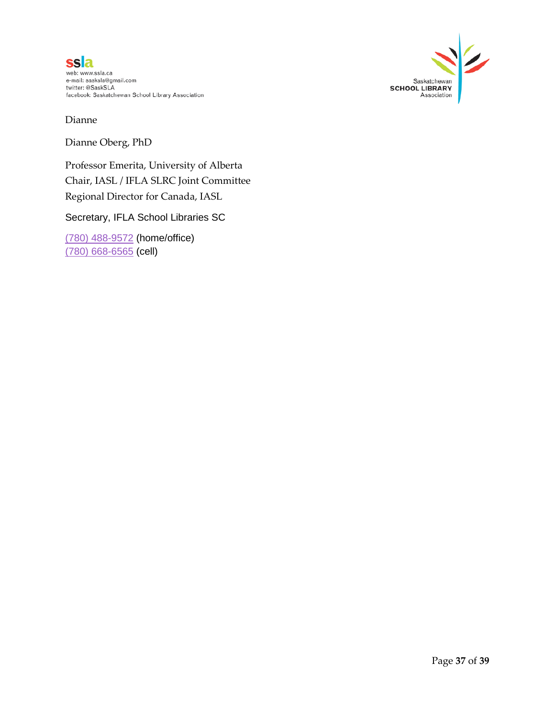



Dianne

Dianne Oberg, PhD

Professor Emerita, University of Alberta Chair, IASL / IFLA SLRC Joint Committee Regional Director for Canada, IASL

Secretary, IFLA School Libraries SC

[\(780\) 488-9572](tel:%28780%29%20488-9572) (home/office) [\(780\) 668-6565](tel:%28780%29%20668-6565) (cell)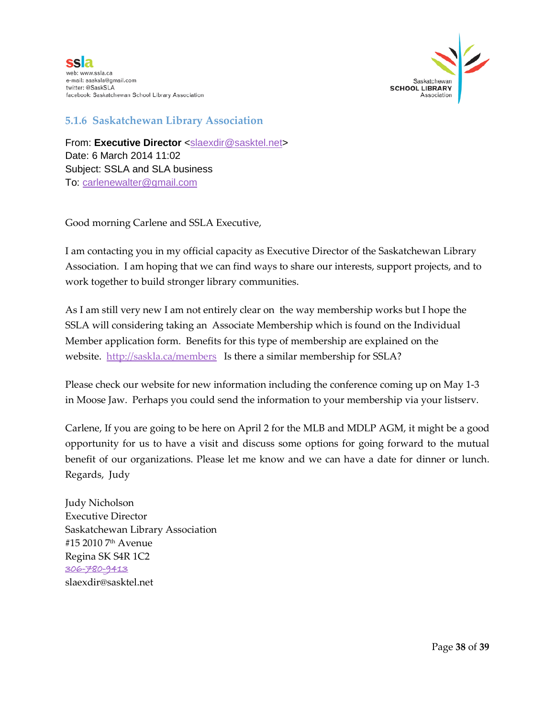



#### **5.1.6 Saskatchewan Library Association**

From: Executive Director [<slaexdir@sasktel.net>](mailto:slaexdir@sasktel.net) Date: 6 March 2014 11:02 Subject: SSLA and SLA business To: [carlenewalter@gmail.com](mailto:carlenewalter@gmail.com)

Good morning Carlene and SSLA Executive,

I am contacting you in my official capacity as Executive Director of the Saskatchewan Library Association. I am hoping that we can find ways to share our interests, support projects, and to work together to build stronger library communities.

As I am still very new I am not entirely clear on the way membership works but I hope the SSLA will considering taking an Associate Membership which is found on the Individual Member application form. Benefits for this type of membership are explained on the website. <http://saskla.ca/members> Is there a similar membership for SSLA?

Please check our website for new information including the conference coming up on May 1-3 in Moose Jaw. Perhaps you could send the information to your membership via your listserv.

Carlene, If you are going to be here on April 2 for the MLB and MDLP AGM, it might be a good opportunity for us to have a visit and discuss some options for going forward to the mutual benefit of our organizations. Please let me know and we can have a date for dinner or lunch. Regards, Judy

Judy Nicholson Executive Director Saskatchewan Library Association #15 2010 7th Avenue Regina SK S4R 1C2 [306-780-9413](tel:306-780-9413) slaexdir@sasktel.net